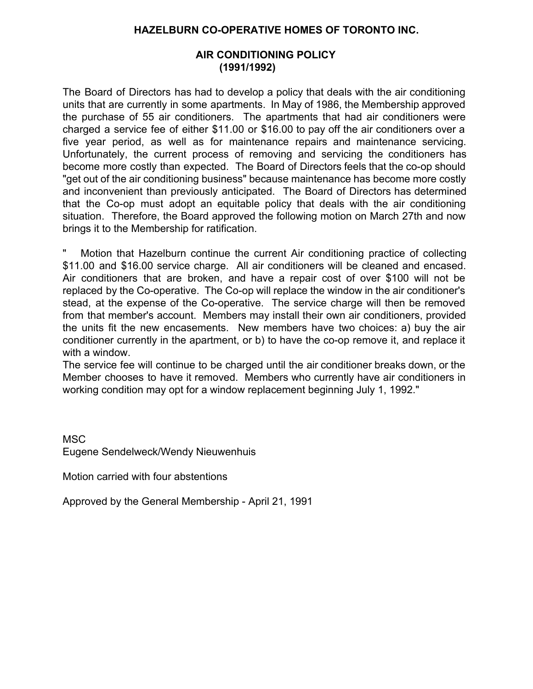#### **HAZELBURN CO-OPERATIVE HOMES OF TORONTO INC.**

### **AIR CONDITIONING POLICY (1991/1992)**

The Board of Directors has had to develop a policy that deals with the air conditioning units that are currently in some apartments. In May of 1986, the Membership approved the purchase of 55 air conditioners. The apartments that had air conditioners were charged a service fee of either \$11.00 or \$16.00 to pay off the air conditioners over a five year period, as well as for maintenance repairs and maintenance servicing. Unfortunately, the current process of removing and servicing the conditioners has become more costly than expected. The Board of Directors feels that the co-op should "get out of the air conditioning business" because maintenance has become more costly and inconvenient than previously anticipated. The Board of Directors has determined that the Co-op must adopt an equitable policy that deals with the air conditioning situation. Therefore, the Board approved the following motion on March 27th and now brings it to the Membership for ratification.

Motion that Hazelburn continue the current Air conditioning practice of collecting \$11.00 and \$16.00 service charge. All air conditioners will be cleaned and encased. Air conditioners that are broken, and have a repair cost of over \$100 will not be replaced by the Co-operative. The Co-op will replace the window in the air conditioner's stead, at the expense of the Co-operative. The service charge will then be removed from that member's account. Members may install their own air conditioners, provided the units fit the new encasements. New members have two choices: a) buy the air conditioner currently in the apartment, or b) to have the co-op remove it, and replace it with a window.

The service fee will continue to be charged until the air conditioner breaks down, or the Member chooses to have it removed. Members who currently have air conditioners in working condition may opt for a window replacement beginning July 1, 1992."

**MSC** Eugene Sendelweck/Wendy Nieuwenhuis

Motion carried with four abstentions

Approved by the General Membership - April 21, 1991